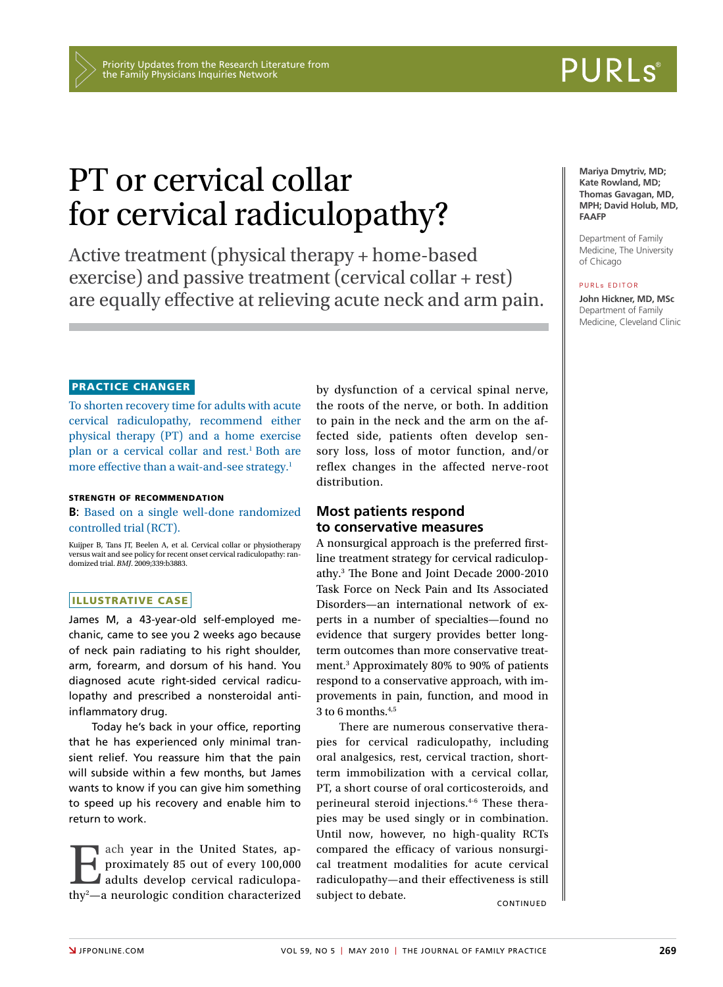# PT or cervical collar for cervical radiculopathy?

Active treatment (physical therapy + home-based exercise) and passive treatment (cervical collar + rest) are equally effective at relieving acute neck and arm pain.

#### Practice changer

To shorten recovery time for adults with acute cervical radiculopathy, recommend either physical therapy (PT) and a home exercise plan or a cervical collar and rest.<sup>1</sup> Both are more effective than a wait-and-see strategy.<sup>1</sup>

#### strength of recommendation

**B**: Based on a single well-done randomized controlled trial (RCT).

Kuijper B, Tans JT, Beelen A, et al. Cervical collar or physiotherapy versus wait and see policy for recent onset cervical radiculopathy: ran-domized trial. *BMJ*. 2009;339:b3883.

#### ILLUSTRATIVE CASE

James M, a 43-year-old self-employed mechanic, came to see you 2 weeks ago because of neck pain radiating to his right shoulder, arm, forearm, and dorsum of his hand. You diagnosed acute right-sided cervical radiculopathy and prescribed a nonsteroidal antiinflammatory drug.

Today he's back in your office, reporting that he has experienced only minimal transient relief. You reassure him that the pain will subside within a few months, but James wants to know if you can give him something to speed up his recovery and enable him to return to work.

Each year in the United States, approximately 85 out of every 100,000<br>adults develop cervical radiculopathy<sup>2</sup>—a neurologic condition characterized proximately 85 out of every 100,000 adults develop cervical radiculopathy2 —a neurologic condition characterized by dysfunction of a cervical spinal nerve, the roots of the nerve, or both. In addition to pain in the neck and the arm on the affected side, patients often develop sensory loss, loss of motor function, and/or reflex changes in the affected nerve-root distribution.

#### **Most patients respond to conservative measures**

A nonsurgical approach is the preferred firstline treatment strategy for cervical radiculopathy.3 The Bone and Joint Decade 2000-2010 Task Force on Neck Pain and Its Associated Disorders—an international network of experts in a number of specialties—found no evidence that surgery provides better longterm outcomes than more conservative treatment.3 Approximately 80% to 90% of patients respond to a conservative approach, with improvements in pain, function, and mood in  $3$  to 6 months.<sup>4,5</sup>

There are numerous conservative therapies for cervical radiculopathy, including oral analgesics, rest, cervical traction, shortterm immobilization with a cervical collar, PT, a short course of oral corticosteroids, and perineural steroid injections.4-6 These therapies may be used singly or in combination. Until now, however, no high-quality RCTs compared the efficacy of various nonsurgical treatment modalities for acute cervical radiculopathy—and their effectiveness is still subject to debate.

**Mariya Dmytriv, MD; Kate Rowland, MD; Thomas Gavagan, MD, MPH; David Holub, MD, FAAFP**

Department of Family Medicine, The University of Chicago

#### PURL & EDITOR

**John Hickner, MD, MSc** Department of Family Medicine, Cleveland Clinic

# **PURLS®**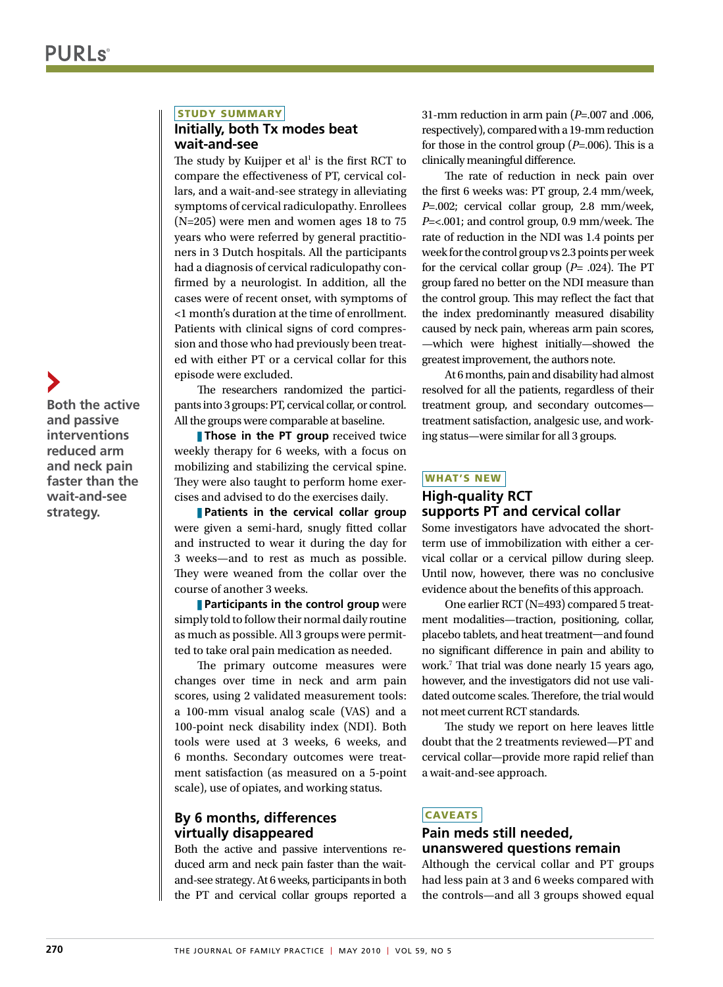#### STUDY SUMMARY

#### **Initially, both Tx modes beat wait-and-see**

The study by Kuijper et al<sup>1</sup> is the first RCT to compare the effectiveness of PT, cervical collars, and a wait-and-see strategy in alleviating symptoms of cervical radiculopathy. Enrollees (N=205) were men and women ages 18 to 75 years who were referred by general practitioners in 3 Dutch hospitals. All the participants had a diagnosis of cervical radiculopathy confirmed by a neurologist. In addition, all the cases were of recent onset, with symptoms of <1 month's duration at the time of enrollment. Patients with clinical signs of cord compression and those who had previously been treated with either PT or a cervical collar for this episode were excluded.

The researchers randomized the participants into 3 groups: PT, cervical collar, or control. All the groups were comparable at baseline.

**Those in the PT group** received twice weekly therapy for 6 weeks, with a focus on mobilizing and stabilizing the cervical spine. They were also taught to perform home exercises and advised to do the exercises daily.

**Patients in the cervical collar group** were given a semi-hard, snugly fitted collar and instructed to wear it during the day for 3 weeks—and to rest as much as possible. They were weaned from the collar over the course of another 3 weeks.

**Participants in the control group** were simply told to follow their normal daily routine as much as possible. All 3 groups were permitted to take oral pain medication as needed.

The primary outcome measures were changes over time in neck and arm pain scores, using 2 validated measurement tools: a 100-mm visual analog scale (VAS) and a 100-point neck disability index (NDI). Both tools were used at 3 weeks, 6 weeks, and 6 months. Secondary outcomes were treatment satisfaction (as measured on a 5-point scale), use of opiates, and working status.

### **By 6 months, differences virtually disappeared**

Both the active and passive interventions reduced arm and neck pain faster than the waitand-see strategy. At 6 weeks, participants in both the PT and cervical collar groups reported a 31-mm reduction in arm pain (*P*=.007 and .006, respectively), compared with a 19-mm reduction for those in the control group (*P*=.006). This is a clinically meaningful difference.

The rate of reduction in neck pain over the first 6 weeks was: PT group, 2.4 mm/week, *P*=.002; cervical collar group, 2.8 mm/week, *P*=<.001; and control group, 0.9 mm/week. The rate of reduction in the NDI was 1.4 points per week for the control group vs 2.3 points per week for the cervical collar group (*P*= .024). The PT group fared no better on the NDI measure than the control group. This may reflect the fact that the index predominantly measured disability caused by neck pain, whereas arm pain scores, —which were highest initially—showed the greatest improvement, the authors note.

At 6 months, pain and disability had almost resolved for all the patients, regardless of their treatment group, and secondary outcomes treatment satisfaction, analgesic use, and working status—were similar for all 3 groups.

#### What's new

#### **High-quality RCT supports PT and cervical collar**

Some investigators have advocated the shortterm use of immobilization with either a cervical collar or a cervical pillow during sleep. Until now, however, there was no conclusive evidence about the benefits of this approach.

One earlier RCT (N=493) compared 5 treatment modalities—traction, positioning, collar, placebo tablets, and heat treatment—and found no significant difference in pain and ability to work.7 That trial was done nearly 15 years ago, however, and the investigators did not use validated outcome scales. Therefore, the trial would not meet current RCT standards.

The study we report on here leaves little doubt that the 2 treatments reviewed—PT and cervical collar—provide more rapid relief than a wait-and-see approach.

# **CAVEATS**

## **Pain meds still needed, unanswered questions remain**

Although the cervical collar and PT groups had less pain at 3 and 6 weeks compared with the controls—and all 3 groups showed equal

**Both the active and passive interventions reduced arm and neck pain faster than the wait-and-see strategy.**